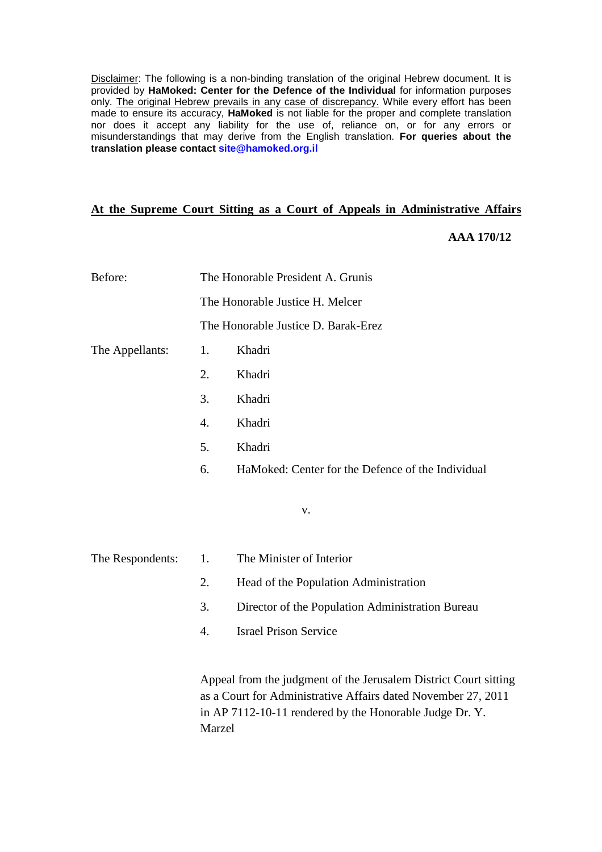Disclaimer: The following is a non-binding translation of the original Hebrew document. It is provided by **HaMoked: Center for the Defence of the Individual** for information purposes only. The original Hebrew prevails in any case of discrepancy. While every effort has been made to ensure its accuracy, **HaMoked** is not liable for the proper and complete translation nor does it accept any liability for the use of, reliance on, or for any errors or misunderstandings that may derive from the English translation. **For queries about the translation please contact site@hamoked.org.il**

## **At the Supreme Court Sitting as a Court of Appeals in Administrative Affairs**

## **AAA 170/12**

| Before: | The Honorable President A. Grunis |
|---------|-----------------------------------|
|         | The Honorable Justice H. Melcer   |

The Honorable Justice D. Barak-Erez

- The Appellants: 1. Khadri
	- 2. Khadri
	- 3. Khadri
	- 4. Khadri
	- 5. Khadri
	- 6. HaMoked: Center for the Defence of the Individual

## v.

- The Respondents: 1. The Minister of Interior
	- 2. Head of the Population Administration
	- 3. Director of the Population Administration Bureau
	- 4. Israel Prison Service

Appeal from the judgment of the Jerusalem District Court sitting as a Court for Administrative Affairs dated November 27, 2011 in AP 7112-10-11 rendered by the Honorable Judge Dr. Y. Marzel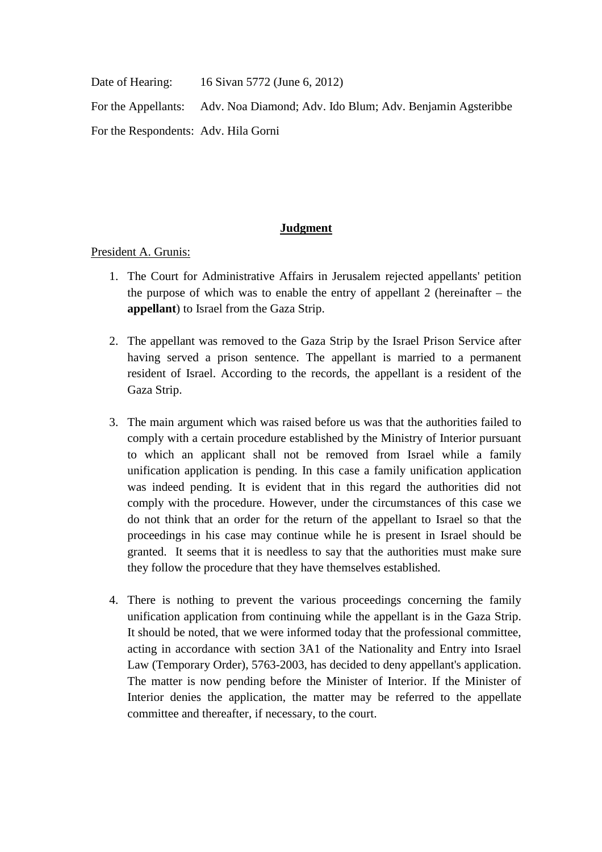Date of Hearing: 16 Sivan 5772 (June 6, 2012)

For the Appellants: Adv. Noa Diamond; Adv. Ido Blum; Adv. Benjamin Agsteribbe

For the Respondents: Adv. Hila Gorni

## **Judgment**

President A. Grunis:

- 1. The Court for Administrative Affairs in Jerusalem rejected appellants' petition the purpose of which was to enable the entry of appellant  $2$  (hereinafter – the **appellant**) to Israel from the Gaza Strip.
- 2. The appellant was removed to the Gaza Strip by the Israel Prison Service after having served a prison sentence. The appellant is married to a permanent resident of Israel. According to the records, the appellant is a resident of the Gaza Strip.
- 3. The main argument which was raised before us was that the authorities failed to comply with a certain procedure established by the Ministry of Interior pursuant to which an applicant shall not be removed from Israel while a family unification application is pending. In this case a family unification application was indeed pending. It is evident that in this regard the authorities did not comply with the procedure. However, under the circumstances of this case we do not think that an order for the return of the appellant to Israel so that the proceedings in his case may continue while he is present in Israel should be granted. It seems that it is needless to say that the authorities must make sure they follow the procedure that they have themselves established.
- 4. There is nothing to prevent the various proceedings concerning the family unification application from continuing while the appellant is in the Gaza Strip. It should be noted, that we were informed today that the professional committee, acting in accordance with section 3A1 of the Nationality and Entry into Israel Law (Temporary Order), 5763-2003, has decided to deny appellant's application. The matter is now pending before the Minister of Interior. If the Minister of Interior denies the application, the matter may be referred to the appellate committee and thereafter, if necessary, to the court.